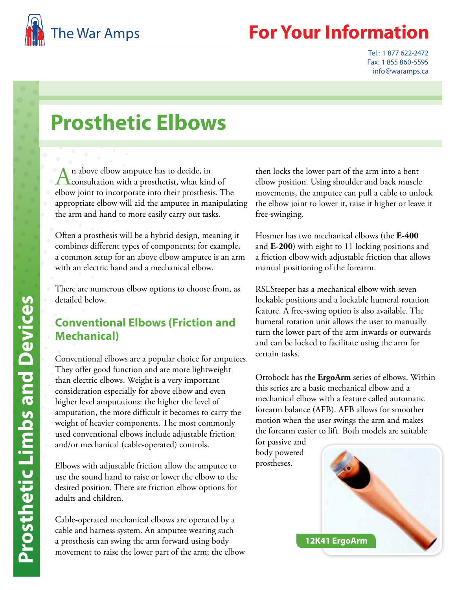

## **Your Information**

Tel.: 1 877 622-2472 Fax: 1 855 860-5595 info@waramps.ca

## **Prosthetic Elbows**

An above elbow amputee has to decide, in<br>
consultation with a prosthetist, what kind of elbow joint to incorporate into their prosthesis. The appropriate elbow will aid the amputee in manipulating the arm and hand to more easily carry out tasks.

Often a prosthesis will be a hybrid design, meaning it combines different types of components; for example, a common setup for an above elbow amputee is an arm with an electric hand and a mechanical elbow.

There are numerous elbow options to choose from, as detailed below.

### **Conventional Elbows (Friction and Mechanical)**

Conventional elbows are a popular choice for amputees. They offer good function and are more lightweight than electric elbows. Weight is a very important consideration especially for above elbow and even higher level amputations: the higher the level of amputation, the more difficult it becomes to carry the weight of heavier components. The most commonly used conventional elbows include adjustable friction and/or mechanical (cable-operated) controls.

Elbows with adjustable friction allow the amputee to use the sound hand to raise or lower the elbow to the desired position. There are friction elbow options for adults and children.

Cable-operated mechanical elbows are operated by a cable and harness system. An amputee wearing such a prosthesis can swing the arm forward using body movement to raise the lower part of the arm; the elbow then locks the lower part of the arm into a bent elbow position. Using shoulder and back muscle movements, the amputee can pull a cable to unlock the elbow joint to lower it, raise it higher or leave it free-swinging.

Hosmer has two mechanical elbows (the **E-400** and **E-200**) with eight to 11 locking positions and a friction elbow with adjustable friction that allows manual positioning of the forearm.

RSLSteeper has a mechanical elbow with seven lockable positions and a lockable humeral rotation feature. A free-swing option is also available. The humeral rotation unit allows the user to manually turn the lower part of the arm inwards or outwards and can be locked to facilitate using the arm for certain tasks.

Ottobock has the **ErgoArm** series of elbows. Within this series are a basic mechanical elbow and a mechanical elbow with a feature called automatic forearm balance (AFB). AFB allows for smoother motion when the user swings the arm and makes the forearm easier to lift. Both models are suitable

for passive and body powered prostheses.